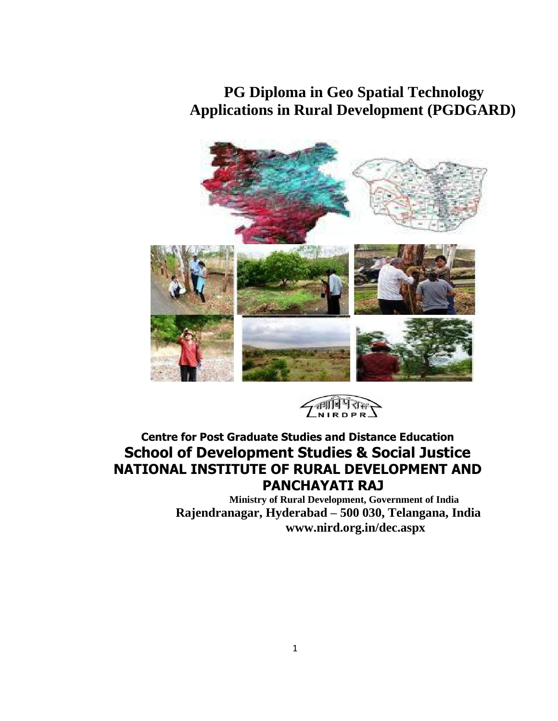# **PG Diploma in Geo Spatial Technology Applications in Rural Development (PGDGARD)**





# **Centre for Post Graduate Studies and Distance Education School of Development Studies & Social Justice NATIONAL INSTITUTE OF RURAL DEVELOPMENT AND PANCHAYATI RAJ**

**Ministry of Rural Development, Government of India Rajendranagar, Hyderabad – 500 030, Telangana, India www.nird.org.in/dec.aspx**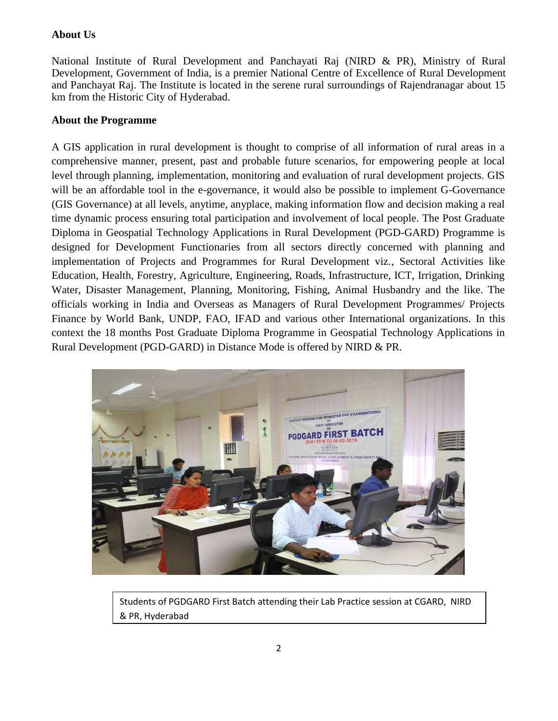### **About Us**

National Institute of Rural Development and Panchayati Raj (NIRD & PR), Ministry of Rural Development, Government of India, is a premier National Centre of Excellence of Rural Development and Panchayat Raj. The Institute is located in the serene rural surroundings of Rajendranagar about 15 km from the Historic City of Hyderabad.

### **About the Programme**

A GIS application in rural development is thought to comprise of all information of rural areas in a comprehensive manner, present, past and probable future scenarios, for empowering people at local level through planning, implementation, monitoring and evaluation of rural development projects. GIS will be an affordable tool in the e-governance, it would also be possible to implement G-Governance (GIS Governance) at all levels, anytime, anyplace, making information flow and decision making a real time dynamic process ensuring total participation and involvement of local people. The Post Graduate Diploma in Geospatial Technology Applications in Rural Development (PGD-GARD) Programme is designed for Development Functionaries from all sectors directly concerned with planning and implementation of Projects and Programmes for Rural Development viz., Sectoral Activities like Education, Health, Forestry, Agriculture, Engineering, Roads, Infrastructure, ICT, Irrigation, Drinking Water, Disaster Management, Planning, Monitoring, Fishing, Animal Husbandry and the like. The officials working in India and Overseas as Managers of Rural Development Programmes/ Projects Finance by World Bank, UNDP, FAO, IFAD and various other International organizations. In this context the 18 months Post Graduate Diploma Programme in Geospatial Technology Applications in Rural Development (PGD-GARD) in Distance Mode is offered by NIRD & PR.



Students of PGDGARD First Batch attending their Lab Practice session at CGARD, NIRD & PR, Hyderabad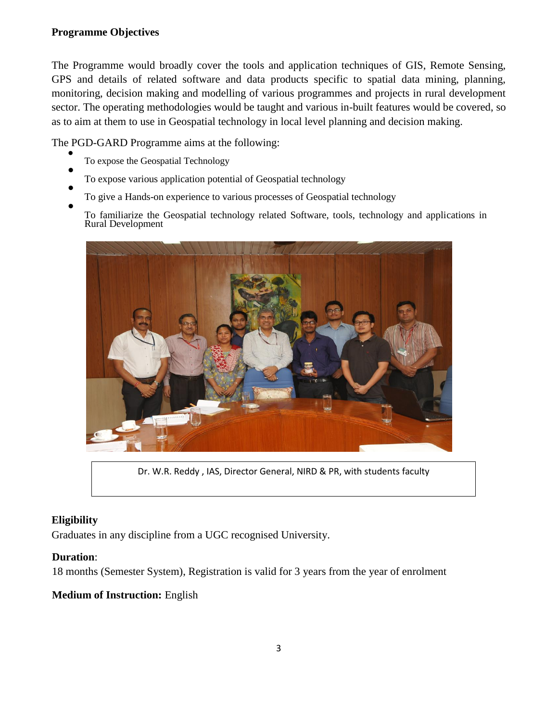## **Programme Objectives**

The Programme would broadly cover the tools and application techniques of GIS, Remote Sensing, GPS and details of related software and data products specific to spatial data mining, planning, monitoring, decision making and modelling of various programmes and projects in rural development sector. The operating methodologies would be taught and various in-built features would be covered, so as to aim at them to use in Geospatial technology in local level planning and decision making.

The PGD-GARD Programme aims at the following:

- $\bullet$ To expose the Geospatial Technology
- $\bullet$ To expose various application potential of Geospatial technology
- $\bullet$ To give a Hands-on experience to various processes of Geospatial technology  $\bullet$

To familiarize the Geospatial technology related Software, tools, technology and applications in Rural Development



Dr. W.R. Reddy , IAS, Director General, NIRD & PR, with students faculty

### **Eligibility**

Graduates in any discipline from a UGC recognised University.

### **Duration**:

18 months (Semester System), Registration is valid for 3 years from the year of enrolment

### **Medium of Instruction:** English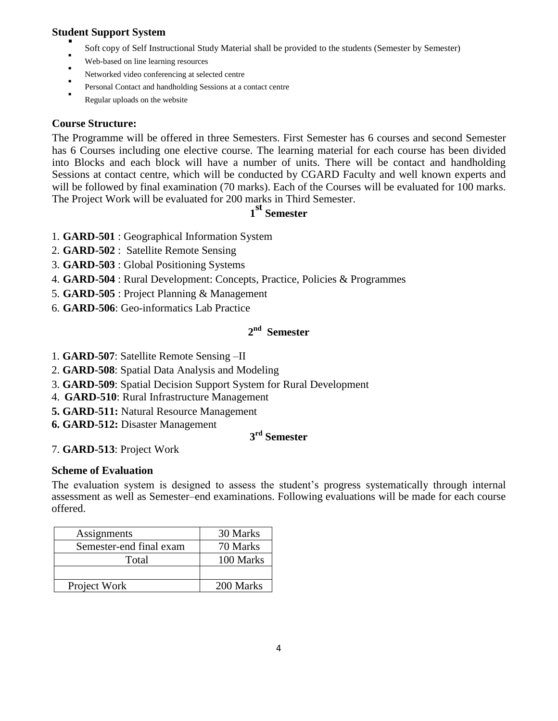### **Student Support System**

- . Soft copy of Self Instructional Study Material shall be provided to the students (Semester by Semester)
- Web-based on line learning resources
- . Networked video conferencing at selected centre
- . Personal Contact and handholding Sessions at a contact centre
- . Regular uploads on the website

### **Course Structure:**

The Programme will be offered in three Semesters. First Semester has 6 courses and second Semester has 6 Courses including one elective course. The learning material for each course has been divided into Blocks and each block will have a number of units. There will be contact and handholding Sessions at contact centre, which will be conducted by CGARD Faculty and well known experts and will be followed by final examination (70 marks). Each of the Courses will be evaluated for 100 marks. The Project Work will be evaluated for 200 marks in Third Semester.

# **1 st Semester**

- 1. **GARD-501** : Geographical Information System
- 2. **GARD-502** : Satellite Remote Sensing
- 3. **GARD-503** : Global Positioning Systems
- 4. **GARD-504** : Rural Development: Concepts, Practice, Policies & Programmes
- 5. **GARD-505** : Project Planning & Management
- 6. **GARD-506**: Geo-informatics Lab Practice

# **2 nd Semester**

- 1. **GARD-507**: Satellite Remote Sensing –II
- 2. **GARD-508**: Spatial Data Analysis and Modeling
- 3. **GARD-509**: Spatial Decision Support System for Rural Development
- 4. **GARD-510**: Rural Infrastructure Management
- **5. GARD-511:** Natural Resource Management
- **6. GARD-512:** Disaster Management

# **3 rd Semester**

7. **GARD-513**: Project Work

### **Scheme of Evaluation**

The evaluation system is designed to assess the student's progress systematically through internal assessment as well as Semester–end examinations. Following evaluations will be made for each course offered.

| Assignments             | 30 Marks  |
|-------------------------|-----------|
| Semester-end final exam | 70 Marks  |
| Total                   | 100 Marks |
|                         |           |
| Project Work            | 200 Marks |